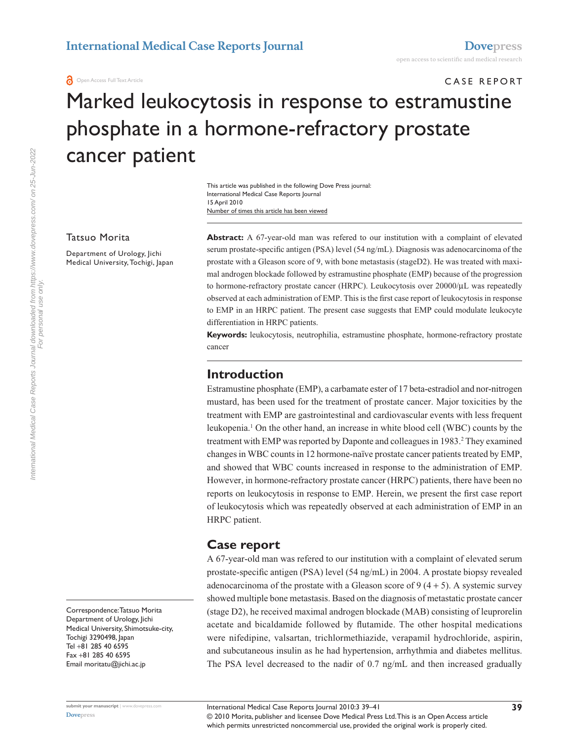**a** Open Access Full Text Article

# CASE REPORT Marked leukocytosis in response to estramustine phosphate in a hormone-refractory prostate cancer patient

Number of times this article has been viewed This article was published in the following Dove Press journal: International Medical Case Reports Journal 15 April 2010

#### Tatsuo Morita

Department of Urology, Jichi Medical University, Tochigi, Japan **Abstract:** A 67-year-old man was refered to our institution with a complaint of elevated serum prostate-specific antigen (PSA) level (54 ng/mL). Diagnosis was adenocarcinoma of the prostate with a Gleason score of 9, with bone metastasis (stageD2). He was treated with maximal androgen blockade followed by estramustine phosphate (EMP) because of the progression to hormone-refractory prostate cancer (HRPC). Leukocytosis over  $20000/\mu$ L was repeatedly observed at each administration of EMP. This is the first case report of leukocytosis in response to EMP in an HRPC patient. The present case suggests that EMP could modulate leukocyte differentiation in HRPC patients.

**Keywords:** leukocytosis, neutrophilia, estramustine phosphate, hormone-refractory prostate cancer

## **Introduction**

Estramustine phosphate (EMP), a carbamate ester of 17 beta-estradiol and nor-nitrogen mustard, has been used for the treatment of prostate cancer. Major toxicities by the treatment with EMP are gastrointestinal and cardiovascular events with less frequent leukopenia.<sup>1</sup> On the other hand, an increase in white blood cell (WBC) counts by the treatment with EMP was reported by Daponte and colleagues in 1983.<sup>2</sup> They examined changes in WBC counts in 12 hormone-naïve prostate cancer patients treated by EMP, and showed that WBC counts increased in response to the administration of EMP. However, in hormone-refractory prostate cancer (HRPC) patients, there have been no reports on leukocytosis in response to EMP. Herein, we present the first case report of leukocytosis which was repeatedly observed at each administration of EMP in an HRPC patient.

## **Case report**

A 67-year-old man was refered to our institution with a complaint of elevated serum prostate-specific antigen (PSA) level (54 ng/mL) in 2004. A prostate biopsy revealed adenocarcinoma of the prostate with a Gleason score of  $9(4 + 5)$ . A systemic survey showed multiple bone metastasis. Based on the diagnosis of metastatic prostate cancer (stage D2), he received maximal androgen blockade (MAB) consisting of leuprorelin acetate and bicaldamide followed by flutamide. The other hospital medications were nifedipine, valsartan, trichlormethiazide, verapamil hydrochloride, aspirin, and subcutaneous insulin as he had hypertension, arrhythmia and diabetes mellitus. The PSA level decreased to the nadir of 0.7 ng/mL and then increased gradually

International Medical Case Reports Journal downloaded from https://www.dovepress.com/ on 25-Jun-2022<br>For personal use only. International Medical Case Reports Journal downloaded from https://www.dovepress.com/ on 25-Jun-2022 For personal use only.

> Correspondence: Tatsuo Morita Department of Urology, Jichi Medical University, Shimotsuke-city, Tochigi 3290498, Japan Tel +81 285 40 6595 Fax +81 285 40 6595 Email<moritatu@jichi.ac.jp>

**[Dovepress](www.dovepress.com)**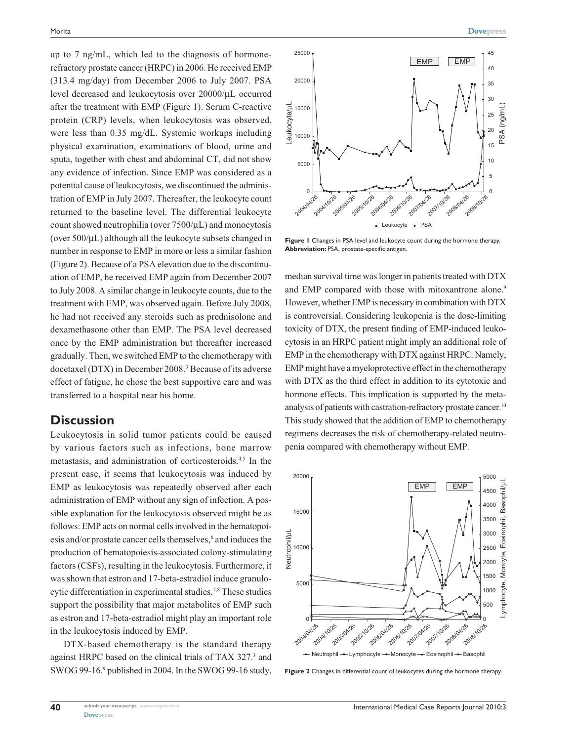up to 7 ng/mL, which led to the diagnosis of hormonerefractory prostate cancer (HRPC) in 2006. He received EMP (313.4 mg/day) from December 2006 to July 2007. PSA level decreased and leukocytosis over 20000/µL occurred after the treatment with EMP (Figure 1). Serum C-reactive protein (CRP) levels, when leukocytosis was observed, were less than 0.35 mg/dL. Systemic workups including physical examination, examinations of blood, urine and sputa, together with chest and abdominal CT, did not show any evidence of infection. Since EMP was considered as a potential cause of leukocytosis, we discontinued the administration of EMP in July 2007. Thereafter, the leukocyte count returned to the baseline level. The differential leukocyte count showed neutrophilia (over 7500/µL) and monocytosis (over 500/µL) although all the leukocyte subsets changed in number in response to EMP in more or less a similar fashion (Figure 2). Because of a PSA elevation due to the discontinuation of EMP, he received EMP again from December 2007 to July 2008. A similar change in leukocyte counts, due to the treatment with EMP, was observed again. Before July 2008, he had not received any steroids such as prednisolone and dexamethasone other than EMP. The PSA level decreased once by the EMP administration but thereafter increased gradually. Then, we switched EMP to the chemotherapy with docetaxel (DTX) in December 2008.<sup>3</sup> Because of its adverse effect of fatigue, he chose the best supportive care and was transferred to a hospital near his home.

#### **Discussion**

Leukocytosis in solid tumor patients could be caused by various factors such as infections, bone marrow metastasis, and administration of corticosteroids.4,5 In the present case, it seems that leukocytosis was induced by EMP as leukocytosis was repeatedly observed after each administration of EMP without any sign of infection. A possible explanation for the leukocytosis observed might be as follows: EMP acts on normal cells involved in the hematopoiesis and/or prostate cancer cells themselves,<sup>6</sup> and induces the production of hematopoiesis-associated colony-stimulating factors (CSFs), resulting in the leukocytosis. Furthermore, it was shown that estron and 17-beta-estradiol induce granulocytic differentiation in experimental studies.<sup>7,8</sup> These studies support the possibility that major metabolites of EMP such as estron and 17-beta-estradiol might play an important role in the leukocytosis induced by EMP.

DTX-based chemotherapy is the standard therapy against HRPC based on the clinical trials of TAX 327.<sup>3</sup> and SWOG 99-16.<sup>9</sup> published in 2004. In the SWOG 99-16 study,



**Figure 1** Changes in PSA level and leukocyte count during the hormone therapy. **Abbreviation:** PSA, prostate-specific antigen.

median survival time was longer in patients treated with DTX and EMP compared with those with mitoxantrone alone.<sup>9</sup> However, whether EMP is necessary in combination with DTX is controversial. Considering leukopenia is the dose-limiting toxicity of DTX, the present finding of EMP-induced leukocytosis in an HRPC patient might imply an additional role of EMP in the chemotherapy with DTX against HRPC. Namely, EMP might have a myeloprotective effect in the chemotherapy with DTX as the third effect in addition to its cytotoxic and hormone effects. This implication is supported by the metaanalysis of patients with castration-refractory prostate cancer.<sup>10</sup> This study showed that the addition of EMP to chemotherapy regimens decreases the risk of chemotherapy-related neutropenia compared with chemotherapy without EMP.